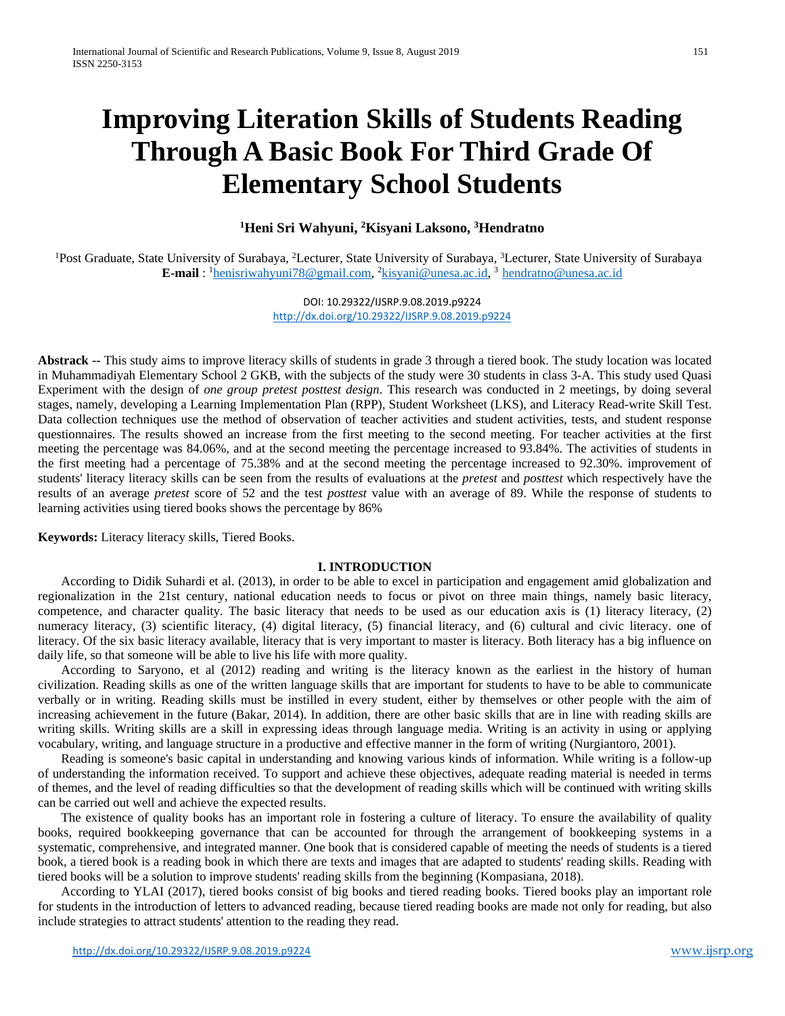# **Improving Literation Skills of Students Reading Through A Basic Book For Third Grade Of Elementary School Students**

## **1 Heni Sri Wahyuni, 2 Kisyani Laksono, 3 Hendratno**

<sup>1</sup>Post Graduate, State University of Surabaya, <sup>2</sup>Lecturer, State University of Surabaya, <sup>3</sup>Lecturer, State University of Surabaya **E-mail** : <sup>1</sup>[henisriwahyuni78@gmail.com,](mailto:henisriwahyuni78@gmail.com) <sup>2</sup>[kisyani@unesa.ac.id,](mailto:kisyani@unesa.ac.id) <sup>3</sup> [hendratno@unesa.ac.id](mailto:hendratno@unesa.ac.id)

> DOI: 10.29322/IJSRP.9.08.2019.p9224 <http://dx.doi.org/10.29322/IJSRP.9.08.2019.p9224>

**Abstrack --** This study aims to improve literacy skills of students in grade 3 through a tiered book. The study location was located in Muhammadiyah Elementary School 2 GKB, with the subjects of the study were 30 students in class 3-A. This study used Quasi Experiment with the design of *one group pretest posttest design*. This research was conducted in 2 meetings, by doing several stages, namely, developing a Learning Implementation Plan (RPP), Student Worksheet (LKS), and Literacy Read-write Skill Test. Data collection techniques use the method of observation of teacher activities and student activities, tests, and student response questionnaires. The results showed an increase from the first meeting to the second meeting. For teacher activities at the first meeting the percentage was 84.06%, and at the second meeting the percentage increased to 93.84%. The activities of students in the first meeting had a percentage of 75.38% and at the second meeting the percentage increased to 92.30%. improvement of students' literacy literacy skills can be seen from the results of evaluations at the *pretest* and *posttest* which respectively have the results of an average *pretest* score of 52 and the test *posttest* value with an average of 89. While the response of students to learning activities using tiered books shows the percentage by 86%

**Keywords:** Literacy literacy skills, Tiered Books.

#### **I. INTRODUCTION**

According to Didik Suhardi et al. (2013), in order to be able to excel in participation and engagement amid globalization and regionalization in the 21st century, national education needs to focus or pivot on three main things, namely basic literacy, competence, and character quality. The basic literacy that needs to be used as our education axis is (1) literacy literacy, (2) numeracy literacy, (3) scientific literacy, (4) digital literacy, (5) financial literacy, and (6) cultural and civic literacy. one of literacy. Of the six basic literacy available, literacy that is very important to master is literacy. Both literacy has a big influence on daily life, so that someone will be able to live his life with more quality.

According to Saryono, et al (2012) reading and writing is the literacy known as the earliest in the history of human civilization. Reading skills as one of the written language skills that are important for students to have to be able to communicate verbally or in writing. Reading skills must be instilled in every student, either by themselves or other people with the aim of increasing achievement in the future (Bakar, 2014). In addition, there are other basic skills that are in line with reading skills are writing skills. Writing skills are a skill in expressing ideas through language media. Writing is an activity in using or applying vocabulary, writing, and language structure in a productive and effective manner in the form of writing (Nurgiantoro, 2001).

Reading is someone's basic capital in understanding and knowing various kinds of information. While writing is a follow-up of understanding the information received. To support and achieve these objectives, adequate reading material is needed in terms of themes, and the level of reading difficulties so that the development of reading skills which will be continued with writing skills can be carried out well and achieve the expected results.

The existence of quality books has an important role in fostering a culture of literacy. To ensure the availability of quality books, required bookkeeping governance that can be accounted for through the arrangement of bookkeeping systems in a systematic, comprehensive, and integrated manner. One book that is considered capable of meeting the needs of students is a tiered book, a tiered book is a reading book in which there are texts and images that are adapted to students' reading skills. Reading with tiered books will be a solution to improve students' reading skills from the beginning (Kompasiana, 2018).

According to YLAI (2017), tiered books consist of big books and tiered reading books. Tiered books play an important role for students in the introduction of letters to advanced reading, because tiered reading books are made not only for reading, but also include strategies to attract students' attention to the reading they read.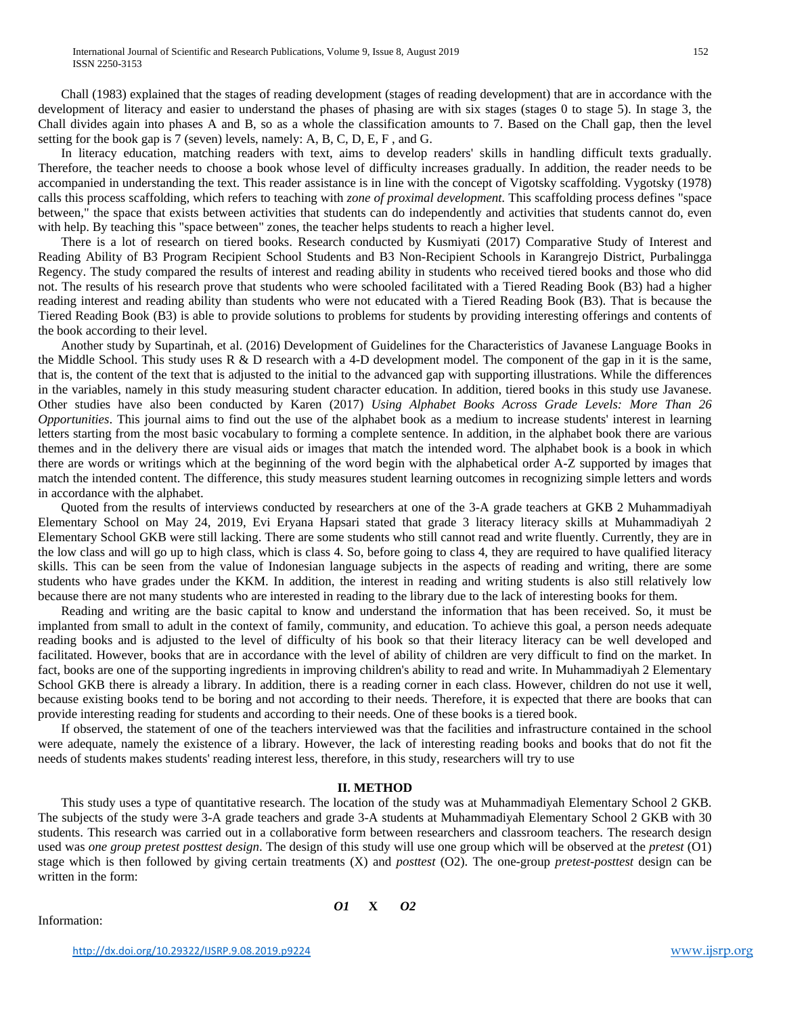Chall (1983) explained that the stages of reading development (stages of reading development) that are in accordance with the development of literacy and easier to understand the phases of phasing are with six stages (stages 0 to stage 5). In stage 3, the Chall divides again into phases A and B, so as a whole the classification amounts to 7. Based on the Chall gap, then the level setting for the book gap is 7 (seven) levels, namely: A, B, C, D, E, F , and G.

In literacy education, matching readers with text, aims to develop readers' skills in handling difficult texts gradually. Therefore, the teacher needs to choose a book whose level of difficulty increases gradually. In addition, the reader needs to be accompanied in understanding the text. This reader assistance is in line with the concept of Vigotsky scaffolding. Vygotsky (1978) calls this process scaffolding, which refers to teaching with *zone of proximal development*. This scaffolding process defines "space between," the space that exists between activities that students can do independently and activities that students cannot do, even with help. By teaching this "space between" zones, the teacher helps students to reach a higher level.

There is a lot of research on tiered books. Research conducted by Kusmiyati (2017) Comparative Study of Interest and Reading Ability of B3 Program Recipient School Students and B3 Non-Recipient Schools in Karangrejo District, Purbalingga Regency. The study compared the results of interest and reading ability in students who received tiered books and those who did not. The results of his research prove that students who were schooled facilitated with a Tiered Reading Book (B3) had a higher reading interest and reading ability than students who were not educated with a Tiered Reading Book (B3). That is because the Tiered Reading Book (B3) is able to provide solutions to problems for students by providing interesting offerings and contents of the book according to their level.

Another study by Supartinah, et al. (2016) Development of Guidelines for the Characteristics of Javanese Language Books in the Middle School. This study uses R & D research with a 4-D development model. The component of the gap in it is the same, that is, the content of the text that is adjusted to the initial to the advanced gap with supporting illustrations. While the differences in the variables, namely in this study measuring student character education. In addition, tiered books in this study use Javanese. Other studies have also been conducted by Karen (2017) *Using Alphabet Books Across Grade Levels: More Than 26 Opportunities*. This journal aims to find out the use of the alphabet book as a medium to increase students' interest in learning letters starting from the most basic vocabulary to forming a complete sentence. In addition, in the alphabet book there are various themes and in the delivery there are visual aids or images that match the intended word. The alphabet book is a book in which there are words or writings which at the beginning of the word begin with the alphabetical order A-Z supported by images that match the intended content. The difference, this study measures student learning outcomes in recognizing simple letters and words in accordance with the alphabet.

Quoted from the results of interviews conducted by researchers at one of the 3-A grade teachers at GKB 2 Muhammadiyah Elementary School on May 24, 2019, Evi Eryana Hapsari stated that grade 3 literacy literacy skills at Muhammadiyah 2 Elementary School GKB were still lacking. There are some students who still cannot read and write fluently. Currently, they are in the low class and will go up to high class, which is class 4. So, before going to class 4, they are required to have qualified literacy skills. This can be seen from the value of Indonesian language subjects in the aspects of reading and writing, there are some students who have grades under the KKM. In addition, the interest in reading and writing students is also still relatively low because there are not many students who are interested in reading to the library due to the lack of interesting books for them.

Reading and writing are the basic capital to know and understand the information that has been received. So, it must be implanted from small to adult in the context of family, community, and education. To achieve this goal, a person needs adequate reading books and is adjusted to the level of difficulty of his book so that their literacy literacy can be well developed and facilitated. However, books that are in accordance with the level of ability of children are very difficult to find on the market. In fact, books are one of the supporting ingredients in improving children's ability to read and write. In Muhammadiyah 2 Elementary School GKB there is already a library. In addition, there is a reading corner in each class. However, children do not use it well, because existing books tend to be boring and not according to their needs. Therefore, it is expected that there are books that can provide interesting reading for students and according to their needs. One of these books is a tiered book.

If observed, the statement of one of the teachers interviewed was that the facilities and infrastructure contained in the school were adequate, namely the existence of a library. However, the lack of interesting reading books and books that do not fit the needs of students makes students' reading interest less, therefore, in this study, researchers will try to use

#### **II. METHOD**

This study uses a type of quantitative research. The location of the study was at Muhammadiyah Elementary School 2 GKB. The subjects of the study were 3-A grade teachers and grade 3-A students at Muhammadiyah Elementary School 2 GKB with 30 students. This research was carried out in a collaborative form between researchers and classroom teachers. The research design used was *one group pretest posttest design*. The design of this study will use one group which will be observed at the *pretest* (O1) stage which is then followed by giving certain treatments (X) and *posttest* (O2). The one-group *pretest*-*posttest* design can be written in the form:

Information:

*O1* **X** *O2*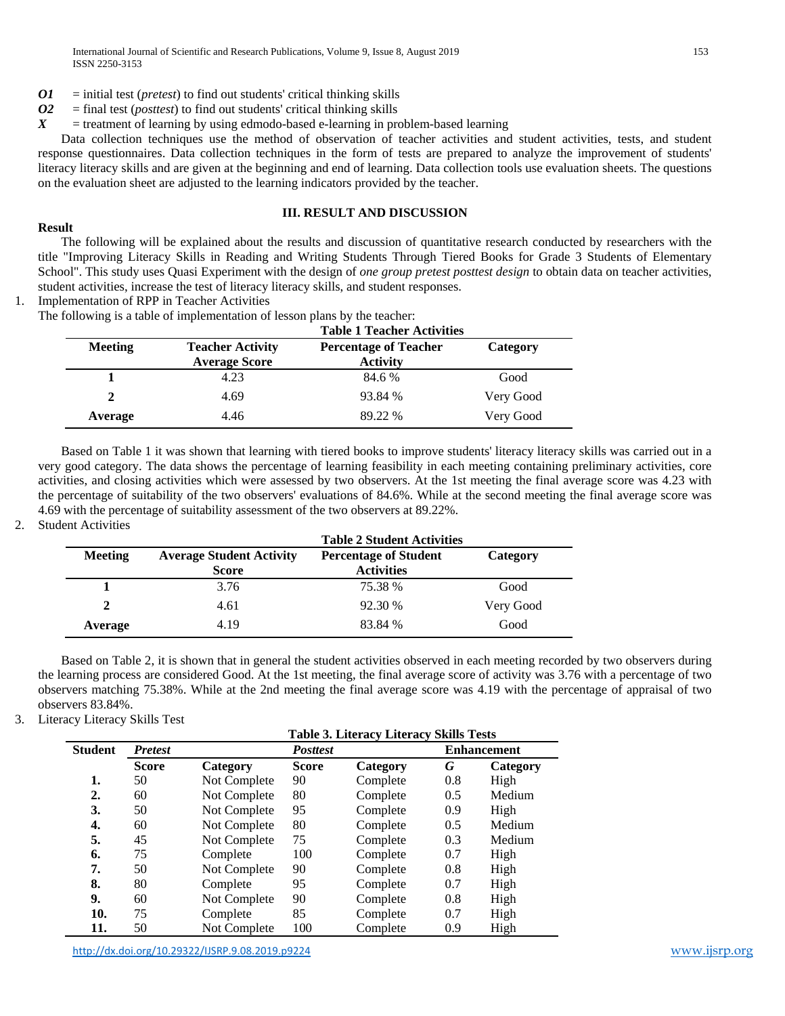- *O1* = initial test (*pretest*) to find out students' critical thinking skills
- $O2$  = final test (*posttest*) to find out students' critical thinking skills  $X$  = treatment of learning by using edmodo-based e-learning in pro-
- $=$  treatment of learning by using edmodo-based e-learning in problem-based learning

Data collection techniques use the method of observation of teacher activities and student activities, tests, and student response questionnaires. Data collection techniques in the form of tests are prepared to analyze the improvement of students' literacy literacy skills and are given at the beginning and end of learning. Data collection tools use evaluation sheets. The questions on the evaluation sheet are adjusted to the learning indicators provided by the teacher.

## **III. RESULT AND DISCUSSION**

## **Result**

The following will be explained about the results and discussion of quantitative research conducted by researchers with the title "Improving Literacy Skills in Reading and Writing Students Through Tiered Books for Grade 3 Students of Elementary School". This study uses Quasi Experiment with the design of *one group pretest posttest design* to obtain data on teacher activities, student activities, increase the test of literacy literacy skills, and student responses.

1. Implementation of RPP in Teacher Activities

The following is a table of implementation of lesson plans by the teacher:

|                |                                                 | <b>Table 1 Teacher Activities</b>               |           |
|----------------|-------------------------------------------------|-------------------------------------------------|-----------|
| <b>Meeting</b> | <b>Teacher Activity</b><br><b>Average Score</b> | <b>Percentage of Teacher</b><br><b>Activity</b> | Category  |
|                | 4.23                                            | 84.6 %                                          | Good      |
| 2              | 4.69                                            | 93.84 %                                         | Very Good |
| Average        | 4.46                                            | 89.22 %                                         | Very Good |

Based on Table 1 it was shown that learning with tiered books to improve students' literacy literacy skills was carried out in a very good category. The data shows the percentage of learning feasibility in each meeting containing preliminary activities, core activities, and closing activities which were assessed by two observers. At the 1st meeting the final average score was 4.23 with the percentage of suitability of the two observers' evaluations of 84.6%. While at the second meeting the final average score was 4.69 with the percentage of suitability assessment of the two observers at 89.22%.

2. Student Activities

|                |                                                 | <b>Table 2 Student Activities</b>                 |           |
|----------------|-------------------------------------------------|---------------------------------------------------|-----------|
| <b>Meeting</b> | <b>Average Student Activity</b><br><b>Score</b> | <b>Percentage of Student</b><br><b>Activities</b> | Category  |
|                | 3.76                                            | 75.38 %                                           | Good      |
| $\mathbf{2}$   | 4.61                                            | 92.30 %                                           | Very Good |
| Average        | 4.19                                            | 83.84 %                                           | Good      |

Based on Table 2, it is shown that in general the student activities observed in each meeting recorded by two observers during the learning process are considered Good. At the 1st meeting, the final average score of activity was 3.76 with a percentage of two observers matching 75.38%. While at the 2nd meeting the final average score was 4.19 with the percentage of appraisal of two observers 83.84%.

3. Literacy Literacy Skills Test

|  | Table 3. Literacy Literacy Skills Tests |  |  |  |
|--|-----------------------------------------|--|--|--|
|--|-----------------------------------------|--|--|--|

| Student | <b>Pretest</b> |              | <b>Posttest</b> |          |     | <b>Enhancement</b> |  |  |
|---------|----------------|--------------|-----------------|----------|-----|--------------------|--|--|
|         | <b>Score</b>   | Category     | <b>Score</b>    | Category | G   | Category           |  |  |
| 1.      | 50             | Not Complete | 90              | Complete | 0.8 | High               |  |  |
| 2.      | 60             | Not Complete | 80              | Complete | 0.5 | Medium             |  |  |
| 3.      | 50             | Not Complete | 95              | Complete | 0.9 | High               |  |  |
| 4.      | 60             | Not Complete | 80              | Complete | 0.5 | Medium             |  |  |
| 5.      | 45             | Not Complete | 75              | Complete | 0.3 | Medium             |  |  |
| 6.      | 75             | Complete     | 100             | Complete | 0.7 | High               |  |  |
| 7.      | 50             | Not Complete | 90              | Complete | 0.8 | High               |  |  |
| 8.      | 80             | Complete     | 95              | Complete | 0.7 | High               |  |  |
| 9.      | 60             | Not Complete | 90              | Complete | 0.8 | High               |  |  |
| 10.     | 75             | Complete     | 85              | Complete | 0.7 | High               |  |  |
| 11.     | 50             | Not Complete | 100             | Complete | 0.9 | High               |  |  |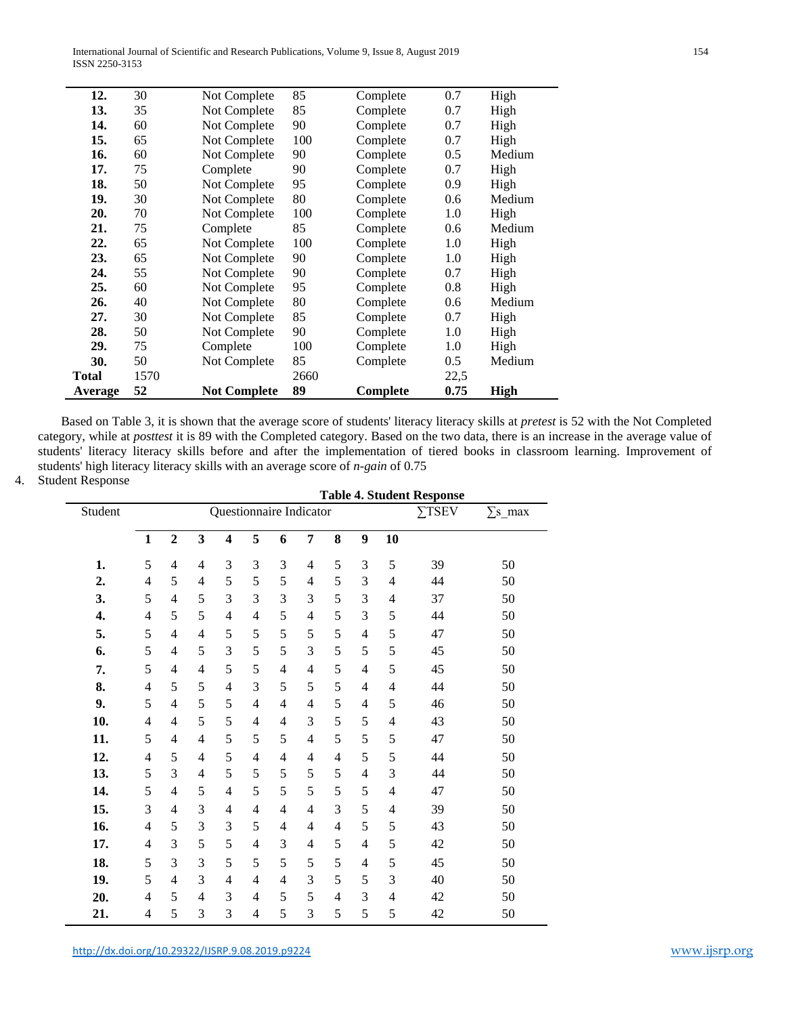International Journal of Scientific and Research Publications, Volume 9, Issue 8, August 2019 154 ISSN 2250-3153

| 12.     | 30   | Not Complete        | 85   | Complete | 0.7  | High        |
|---------|------|---------------------|------|----------|------|-------------|
| 13.     | 35   | Not Complete        | 85   | Complete | 0.7  | High        |
| 14.     | 60   | Not Complete        | 90   | Complete | 0.7  | High        |
| 15.     | 65   | Not Complete        | 100  | Complete | 0.7  | High        |
| 16.     | 60   | Not Complete        | 90   | Complete | 0.5  | Medium      |
| 17.     | 75   | Complete            | 90   | Complete | 0.7  | High        |
| 18.     | 50   | Not Complete        | 95   | Complete | 0.9  | High        |
| 19.     | 30   | Not Complete        | 80   | Complete | 0.6  | Medium      |
| 20.     | 70   | Not Complete        | 100  | Complete | 1.0  | High        |
| 21.     | 75   | Complete            | 85   | Complete | 0.6  | Medium      |
| 22.     | 65   | Not Complete        | 100  | Complete | 1.0  | High        |
| 23.     | 65   | Not Complete        | 90   | Complete | 1.0  | High        |
| 24.     | 55   | Not Complete        | 90   | Complete | 0.7  | High        |
| 25.     | 60   | Not Complete        | 95   | Complete | 0.8  | High        |
| 26.     | 40   | Not Complete        | 80   | Complete | 0.6  | Medium      |
| 27.     | 30   | Not Complete        | 85   | Complete | 0.7  | High        |
| 28.     | 50   | Not Complete        | 90   | Complete | 1.0  | High        |
| 29.     | 75   | Complete            | 100  | Complete | 1.0  | High        |
| 30.     | 50   | Not Complete        | 85   | Complete | 0.5  | Medium      |
| Total   | 1570 |                     | 2660 |          | 22,5 |             |
| Average | 52   | <b>Not Complete</b> | 89   | Complete | 0.75 | <b>High</b> |

Based on Table 3, it is shown that the average score of students' literacy literacy skills at *pretest* is 52 with the Not Completed category, while at *posttest* it is 89 with the Completed category. Based on the two data, there is an increase in the average value of students' literacy literacy skills before and after the implementation of tiered books in classroom learning. Improvement of students' high literacy literacy skills with an average score of *n-gain* of 0.75

## 4. Student Response

 $\overline{\phantom{0}}$ 

|         | <b>Table 4. Student Response</b> |                          |   |                         |                          |                          |                |                |                          |    |    |                |
|---------|----------------------------------|--------------------------|---|-------------------------|--------------------------|--------------------------|----------------|----------------|--------------------------|----|----|----------------|
| Student |                                  | Questionnaire Indicator  |   |                         |                          |                          |                |                |                          |    |    | $\Sigma$ s_max |
|         | $\mathbf{1}$                     | $\overline{2}$           | 3 | $\overline{\mathbf{4}}$ | 5                        | 6                        | $\overline{7}$ | 8              | 9                        | 10 |    |                |
| 1.      | 5                                | $\overline{4}$           | 4 | 3                       | 3                        | 3                        | $\overline{4}$ | 5              | 3                        | 5  | 39 | 50             |
| 2.      | 4                                | 5                        | 4 | 5                       | 5                        | 5                        | 4              | 5              | 3                        | 4  | 44 | 50             |
| 3.      | 5                                | $\overline{4}$           | 5 | 3                       | 3                        | 3                        | 3              | 5              | 3                        | 4  | 37 | 50             |
| 4.      | 4                                | 5                        | 5 | 4                       | 4                        | 5                        | 4              | 5              | 3                        | 5  | 44 | 50             |
| 5.      | 5                                | 4                        | 4 | 5                       | 5                        | 5                        | 5              | 5              | 4                        | 5  | 47 | 50             |
| 6.      | 5                                | 4                        | 5 | 3                       | 5                        | 5                        | 3              | 5              | 5                        | 5  | 45 | 50             |
| 7.      | 5                                | $\overline{\mathcal{L}}$ | 4 | 5                       | 5                        | $\overline{4}$           | $\overline{4}$ | 5              | $\overline{\mathcal{L}}$ | 5  | 45 | 50             |
| 8.      | $\overline{\mathcal{L}}$         | 5                        | 5 | 4                       | 3                        | 5                        | 5              | 5              | 4                        | 4  | 44 | 50             |
| 9.      | 5                                | $\overline{4}$           | 5 | 5                       | $\overline{4}$           | $\overline{4}$           | 4              | 5              | 4                        | 5  | 46 | 50             |
| 10.     | $\overline{\mathcal{L}}$         | 4                        | 5 | 5                       | 4                        | 4                        | 3              | 5              | 5                        | 4  | 43 | 50             |
| 11.     | 5                                | $\overline{4}$           | 4 | 5                       | 5                        | 5                        | 4              | 5              | 5                        | 5  | 47 | 50             |
| 12.     | 4                                | 5                        | 4 | 5                       | $\overline{4}$           | $\overline{4}$           | 4              | 4              | 5                        | 5  | 44 | 50             |
| 13.     | 5                                | 3                        | 4 | 5                       | 5                        | 5                        | 5              | 5              | $\overline{\mathcal{L}}$ | 3  | 44 | 50             |
| 14.     | 5                                | 4                        | 5 | 4                       | 5                        | 5                        | 5              | 5              | 5                        | 4  | 47 | 50             |
| 15.     | 3                                | 4                        | 3 | 4                       | $\overline{4}$           | 4                        | 4              | 3              | 5                        | 4  | 39 | 50             |
| 16.     | 4                                | 5                        | 3 | 3                       | 5                        | 4                        | 4              | 4              | 5                        | 5  | 43 | 50             |
| 17.     | 4                                | 3                        | 5 | 5                       | $\overline{\mathcal{L}}$ | 3                        | 4              | 5              | $\overline{\mathcal{L}}$ | 5  | 42 | 50             |
| 18.     | 5                                | 3                        | 3 | 5                       | 5                        | 5                        | 5              | 5              | $\overline{\mathcal{L}}$ | 5  | 45 | 50             |
| 19.     | 5                                | $\overline{4}$           | 3 | $\overline{4}$          | $\overline{4}$           | $\overline{\mathcal{L}}$ | 3              | 5              | 5                        | 3  | 40 | 50             |
| 20.     | $\overline{4}$                   | 5                        | 4 | 3                       | 4                        | 5                        | 5              | $\overline{4}$ | 3                        | 4  | 42 | 50             |
| 21.     | 4                                | 5                        | 3 | 3                       | 4                        | 5                        | 3              | 5              | 5                        | 5  | 42 | 50             |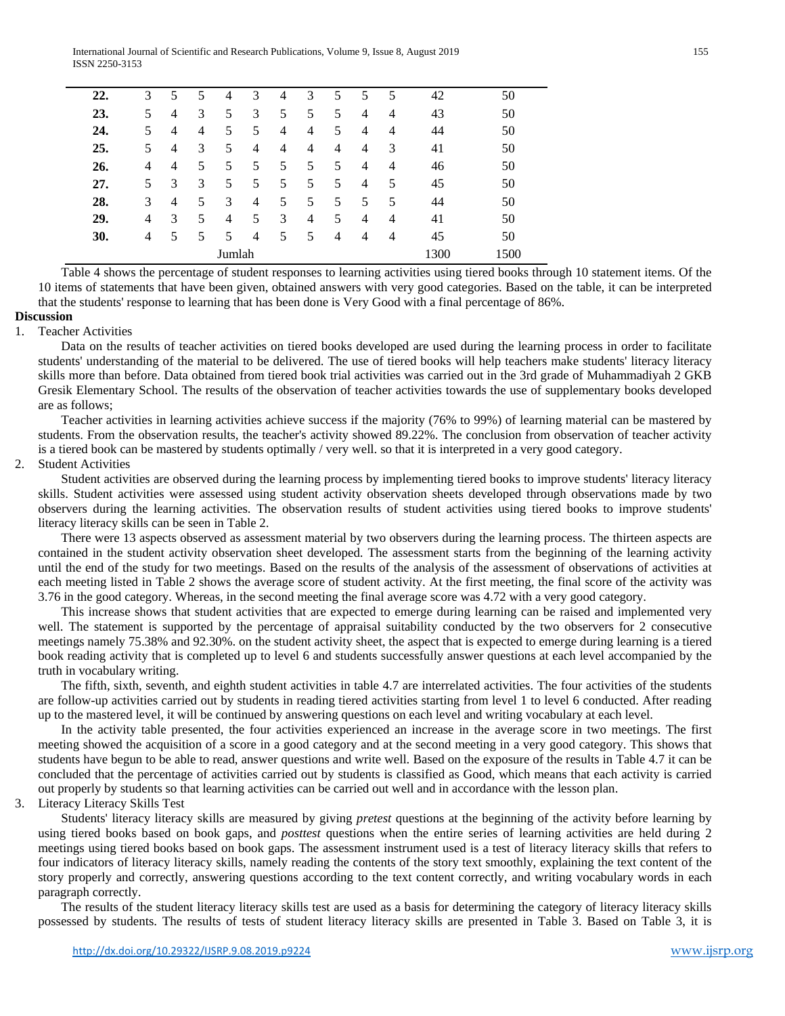| 22. | 3      | 5 |   | 4              | 3              | 4 | 3              | 5 | 5 | 5 | 42   | 50   |
|-----|--------|---|---|----------------|----------------|---|----------------|---|---|---|------|------|
| 23. | 5      | 4 | 3 | 5              | 3              | 5 | 5              | 5 | 4 | 4 | 43   | 50   |
| 24. | 5      | 4 | 4 | 5              | 5              | 4 | 4              | 5 | 4 | 4 | 44   | 50   |
| 25. | 5      | 4 | 3 | 5              | $\overline{4}$ | 4 | $\overline{4}$ | 4 | 4 | 3 | 41   | 50   |
| 26. | 4      | 4 | 5 | 5              | 5              | 5 | 5              | 5 | 4 | 4 | 46   | 50   |
| 27. | 5      | 3 | 3 | 5              | 5              | 5 | 5              | 5 | 4 | 5 | 45   | 50   |
| 28. | 3      | 4 | 5 | 3              | $\overline{4}$ | 5 | 5              | 5 | 5 | 5 | 44   | 50   |
| 29. | 4      | 3 | 5 | $\overline{4}$ | 5              | 3 | 4              | 5 | 4 | 4 | 41   | 50   |
| 30. | 4      | 5 | 5 | 5              | $\overline{4}$ | 5 | 5              | 4 | 4 | 4 | 45   | 50   |
|     |        |   |   | Jumlah         |                |   |                |   |   |   | 1300 | 1500 |
| .   | $\sim$ |   |   | <b>COLUM</b>   |                |   |                |   |   |   | .    |      |

Table 4 shows the percentage of student responses to learning activities using tiered books through 10 statement items. Of the 10 items of statements that have been given, obtained answers with very good categories. Based on the table, it can be interpreted that the students' response to learning that has been done is Very Good with a final percentage of 86%.

## **Discussion**

## 1. Teacher Activities

Data on the results of teacher activities on tiered books developed are used during the learning process in order to facilitate students' understanding of the material to be delivered. The use of tiered books will help teachers make students' literacy literacy skills more than before. Data obtained from tiered book trial activities was carried out in the 3rd grade of Muhammadiyah 2 GKB Gresik Elementary School. The results of the observation of teacher activities towards the use of supplementary books developed are as follows;

Teacher activities in learning activities achieve success if the majority (76% to 99%) of learning material can be mastered by students. From the observation results, the teacher's activity showed 89.22%. The conclusion from observation of teacher activity is a tiered book can be mastered by students optimally / very well. so that it is interpreted in a very good category.

## 2. Student Activities

Student activities are observed during the learning process by implementing tiered books to improve students' literacy literacy skills. Student activities were assessed using student activity observation sheets developed through observations made by two observers during the learning activities. The observation results of student activities using tiered books to improve students' literacy literacy skills can be seen in Table 2.

There were 13 aspects observed as assessment material by two observers during the learning process. The thirteen aspects are contained in the student activity observation sheet developed. The assessment starts from the beginning of the learning activity until the end of the study for two meetings. Based on the results of the analysis of the assessment of observations of activities at each meeting listed in Table 2 shows the average score of student activity. At the first meeting, the final score of the activity was 3.76 in the good category. Whereas, in the second meeting the final average score was 4.72 with a very good category.

This increase shows that student activities that are expected to emerge during learning can be raised and implemented very well. The statement is supported by the percentage of appraisal suitability conducted by the two observers for 2 consecutive meetings namely 75.38% and 92.30%. on the student activity sheet, the aspect that is expected to emerge during learning is a tiered book reading activity that is completed up to level 6 and students successfully answer questions at each level accompanied by the truth in vocabulary writing.

The fifth, sixth, seventh, and eighth student activities in table 4.7 are interrelated activities. The four activities of the students are follow-up activities carried out by students in reading tiered activities starting from level 1 to level 6 conducted. After reading up to the mastered level, it will be continued by answering questions on each level and writing vocabulary at each level.

In the activity table presented, the four activities experienced an increase in the average score in two meetings. The first meeting showed the acquisition of a score in a good category and at the second meeting in a very good category. This shows that students have begun to be able to read, answer questions and write well. Based on the exposure of the results in Table 4.7 it can be concluded that the percentage of activities carried out by students is classified as Good, which means that each activity is carried out properly by students so that learning activities can be carried out well and in accordance with the lesson plan.

# 3. Literacy Literacy Skills Test

Students' literacy literacy skills are measured by giving *pretest* questions at the beginning of the activity before learning by using tiered books based on book gaps, and *posttest* questions when the entire series of learning activities are held during 2 meetings using tiered books based on book gaps. The assessment instrument used is a test of literacy literacy skills that refers to four indicators of literacy literacy skills, namely reading the contents of the story text smoothly, explaining the text content of the story properly and correctly, answering questions according to the text content correctly, and writing vocabulary words in each paragraph correctly.

The results of the student literacy literacy skills test are used as a basis for determining the category of literacy literacy skills possessed by students. The results of tests of student literacy literacy skills are presented in Table 3. Based on Table 3, it is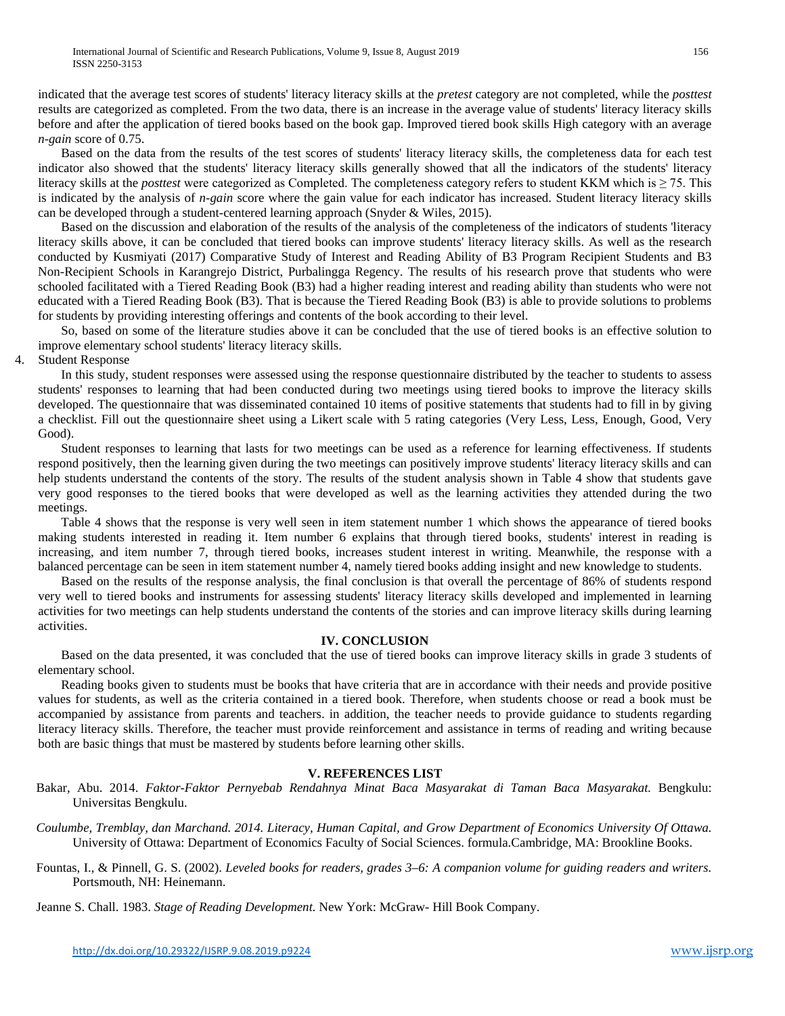indicated that the average test scores of students' literacy literacy skills at the *pretest* category are not completed, while the *posttest* results are categorized as completed. From the two data, there is an increase in the average value of students' literacy literacy skills before and after the application of tiered books based on the book gap. Improved tiered book skills High category with an average *n-gain* score of 0.75.

Based on the data from the results of the test scores of students' literacy literacy skills, the completeness data for each test indicator also showed that the students' literacy literacy skills generally showed that all the indicators of the students' literacy literacy skills at the *posttest* were categorized as Completed. The completeness category refers to student KKM which is ≥ 75. This is indicated by the analysis of *n-gain* score where the gain value for each indicator has increased. Student literacy literacy skills can be developed through a student-centered learning approach (Snyder & Wiles, 2015).

Based on the discussion and elaboration of the results of the analysis of the completeness of the indicators of students 'literacy literacy skills above, it can be concluded that tiered books can improve students' literacy literacy skills. As well as the research conducted by Kusmiyati (2017) Comparative Study of Interest and Reading Ability of B3 Program Recipient Students and B3 Non-Recipient Schools in Karangrejo District, Purbalingga Regency. The results of his research prove that students who were schooled facilitated with a Tiered Reading Book (B3) had a higher reading interest and reading ability than students who were not educated with a Tiered Reading Book (B3). That is because the Tiered Reading Book (B3) is able to provide solutions to problems for students by providing interesting offerings and contents of the book according to their level.

So, based on some of the literature studies above it can be concluded that the use of tiered books is an effective solution to improve elementary school students' literacy literacy skills.

4. Student Response

In this study, student responses were assessed using the response questionnaire distributed by the teacher to students to assess students' responses to learning that had been conducted during two meetings using tiered books to improve the literacy skills developed. The questionnaire that was disseminated contained 10 items of positive statements that students had to fill in by giving a checklist. Fill out the questionnaire sheet using a Likert scale with 5 rating categories (Very Less, Less, Enough, Good, Very Good).

Student responses to learning that lasts for two meetings can be used as a reference for learning effectiveness. If students respond positively, then the learning given during the two meetings can positively improve students' literacy literacy skills and can help students understand the contents of the story. The results of the student analysis shown in Table 4 show that students gave very good responses to the tiered books that were developed as well as the learning activities they attended during the two meetings.

Table 4 shows that the response is very well seen in item statement number 1 which shows the appearance of tiered books making students interested in reading it. Item number 6 explains that through tiered books, students' interest in reading is increasing, and item number 7, through tiered books, increases student interest in writing. Meanwhile, the response with a balanced percentage can be seen in item statement number 4, namely tiered books adding insight and new knowledge to students.

Based on the results of the response analysis, the final conclusion is that overall the percentage of 86% of students respond very well to tiered books and instruments for assessing students' literacy literacy skills developed and implemented in learning activities for two meetings can help students understand the contents of the stories and can improve literacy skills during learning activities.

## **IV. CONCLUSION**

Based on the data presented, it was concluded that the use of tiered books can improve literacy skills in grade 3 students of elementary school.

Reading books given to students must be books that have criteria that are in accordance with their needs and provide positive values for students, as well as the criteria contained in a tiered book. Therefore, when students choose or read a book must be accompanied by assistance from parents and teachers. in addition, the teacher needs to provide guidance to students regarding literacy literacy skills. Therefore, the teacher must provide reinforcement and assistance in terms of reading and writing because both are basic things that must be mastered by students before learning other skills.

#### **V. REFERENCES LIST**

Bakar, Abu. 2014. *Faktor-Faktor Pernyebab Rendahnya Minat Baca Masyarakat di Taman Baca Masyarakat.* Bengkulu: Universitas Bengkulu.

*Coulumbe, Tremblay, dan Marchand. 2014. Literacy, Human Capital, and Grow Department of Economics University Of Ottawa.* University of Ottawa: Department of Economics Faculty of Social Sciences. formula.Cambridge, MA: Brookline Books.

Fountas, I., & Pinnell, G. S. (2002). *Leveled books for readers, grades 3–6: A companion volume for guiding readers and writers.*  Portsmouth, NH: Heinemann.

Jeanne S. Chall. 1983. *Stage of Reading Development.* New York: McGraw- Hill Book Company.